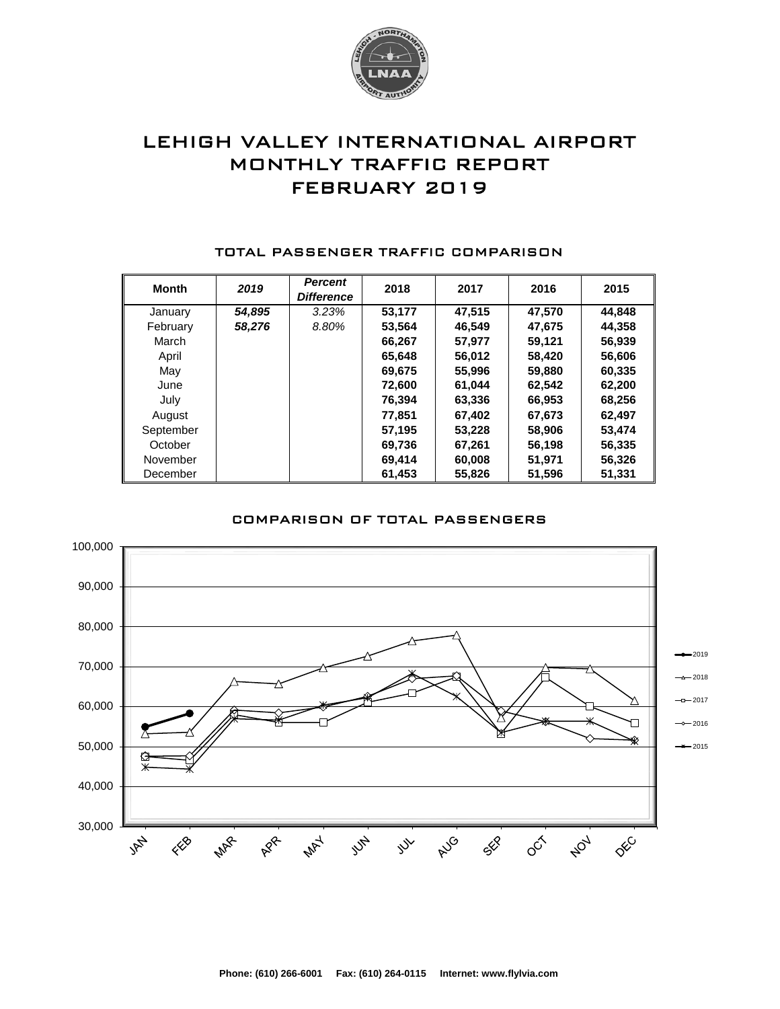

# LEHIGH VALLEY INTERNATIONAL AIRPORT MONTHLY TRAFFIC REPORT FEBRUARY 2019

| <b>Month</b> | 2019   | <b>Percent</b><br><b>Difference</b> | 2018   | 2017   | 2016   | 2015   |
|--------------|--------|-------------------------------------|--------|--------|--------|--------|
| January      | 54,895 | 3.23%                               | 53,177 | 47.515 | 47,570 | 44,848 |
| February     | 58,276 | 8.80%                               | 53,564 | 46,549 | 47,675 | 44,358 |
| March        |        |                                     | 66,267 | 57.977 | 59,121 | 56,939 |
| April        |        |                                     | 65,648 | 56,012 | 58,420 | 56,606 |
| May          |        |                                     | 69,675 | 55,996 | 59,880 | 60,335 |
| June         |        |                                     | 72,600 | 61.044 | 62,542 | 62,200 |
| July         |        |                                     | 76,394 | 63,336 | 66,953 | 68,256 |
| August       |        |                                     | 77.851 | 67,402 | 67,673 | 62,497 |
| September    |        |                                     | 57,195 | 53,228 | 58,906 | 53,474 |
| October      |        |                                     | 69,736 | 67,261 | 56,198 | 56,335 |
| November     |        |                                     | 69,414 | 60,008 | 51,971 | 56,326 |
| December     |        |                                     | 61.453 | 55,826 | 51,596 | 51.331 |

#### TOTAL PASSENGER TRAFFIC COMPARISON

### COMPARISON OF TOTAL PASSENGERS

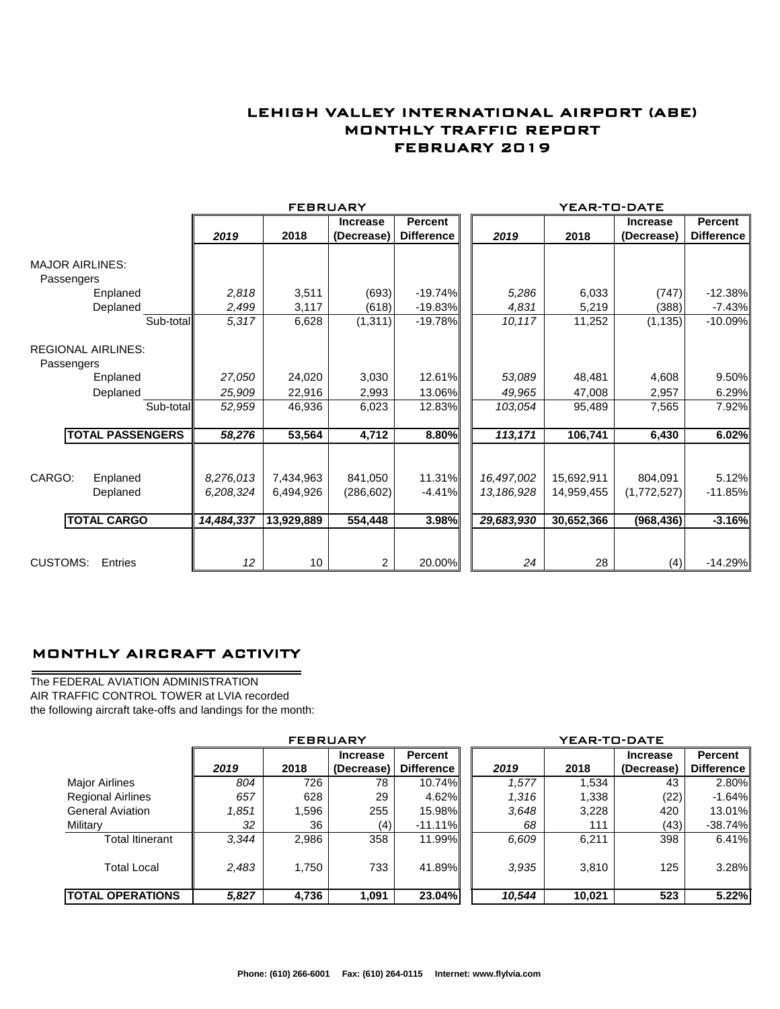## LEHIGH VALLEY INTERNATIONAL AIRPORT (ABE) MONTHLY TRAFFIC REPORT FEBRUARY 2019

|                                         |                         |            | <b>FEBRUARY</b> |                 |                   |            | YEAR-TO-DATE |                 |                |
|-----------------------------------------|-------------------------|------------|-----------------|-----------------|-------------------|------------|--------------|-----------------|----------------|
|                                         |                         |            |                 | <b>Increase</b> | <b>Percent</b>    |            |              | <b>Increase</b> | <b>Percent</b> |
|                                         |                         | 2019       | 2018            | (Decrease)      | <b>Difference</b> | 2019       | 2018         | (Decrease)      | Difference     |
| <b>MAJOR AIRLINES:</b>                  |                         |            |                 |                 |                   |            |              |                 |                |
| Passengers                              |                         |            |                 |                 |                   |            |              |                 |                |
| Enplaned                                |                         | 2,818      | 3,511           | (693)           | $-19.74%$         | 5,286      | 6,033        | (747)           | $-12.38%$      |
| Deplaned                                |                         | 2,499      | 3,117           | (618)           | $-19.83%$         | 4,831      | 5,219        | (388)           | $-7.43%$       |
|                                         | Sub-total               | 5,317      | 6,628           | (1, 311)        | $-19.78%$         | 10,117     | 11,252       | (1, 135)        | $-10.09%$      |
| <b>REGIONAL AIRLINES:</b><br>Passengers |                         |            |                 |                 |                   |            |              |                 |                |
| Enplaned                                |                         | 27,050     | 24,020          | 3,030           | 12.61%            | 53,089     | 48,481       | 4,608           | 9.50%          |
| Deplaned                                |                         | 25,909     | 22,916          | 2,993           | 13.06%            | 49,965     | 47,008       | 2,957           | 6.29%          |
|                                         | Sub-total               | 52,959     | 46,936          | 6,023           | 12.83%            | 103,054    | 95,489       | 7,565           | 7.92%          |
|                                         | <b>TOTAL PASSENGERS</b> | 58,276     | 53,564          | 4,712           | 8.80%             | 113,171    | 106,741      | 6,430           | 6.02%          |
|                                         |                         |            |                 |                 |                   |            |              |                 |                |
| CARGO:<br>Enplaned                      |                         | 8,276,013  | 7,434,963       | 841,050         | 11.31%            | 16,497,002 | 15,692,911   | 804,091         | 5.12%          |
| Deplaned                                |                         | 6,208,324  | 6.494.926       | (286, 602)      | $-4.41%$          | 13,186,928 | 14,959,455   | (1,772,527)     | $-11.85%$      |
| <b>TOTAL CARGO</b>                      |                         | 14,484,337 | 13,929,889      | 554,448         | 3.98%             | 29,683,930 | 30,652,366   | (968, 436)      | $-3.16%$       |
|                                         |                         |            |                 |                 |                   |            |              |                 |                |
| <b>CUSTOMS:</b><br>Entries              |                         | 12         | 10              | $\overline{2}$  | 20.00%            | 24         | 28           | (4)             | $-14.29%$      |

### MONTHLY AIRCRAFT ACTIVITY

The FEDERAL AVIATION ADMINISTRATION AIR TRAFFIC CONTROL TOWER at LVIA recorded the following aircraft take-offs and landings for the month:

L,

|                          | <b>FEBRUARY</b> |       |                 |                   | YEAR-TO-DATE |        |                 |            |  |  |
|--------------------------|-----------------|-------|-----------------|-------------------|--------------|--------|-----------------|------------|--|--|
|                          |                 |       | <b>Increase</b> | <b>Percent</b>    |              |        | <b>Increase</b> | Percent    |  |  |
|                          | 2019            | 2018  | (Decrease)      | <b>Difference</b> | 2019         | 2018   | (Decrease)      | Difference |  |  |
| Major Airlines           | 804             | 726   | 78              | 10.74%            | 1,577        | 1,534  | 43              | 2.80%      |  |  |
| <b>Regional Airlines</b> | 657             | 628   | 29              | $4.62\%$          | 1,316        | 1,338  | (22)            | $-1.64%$   |  |  |
| <b>General Aviation</b>  | 1,851           | 1,596 | 255             | 15.98%            | 3,648        | 3,228  | 420             | 13.01%     |  |  |
| Military                 | 32              | 36    | (4)             | $-11.11\%$        | 68           | 111    | (43)            | $-38.74%$  |  |  |
| <b>Total Itinerant</b>   | 3.344           | 2,986 | 358             | 11.99%I           | 6,609        | 6.211  | 398             | $6.41\%$   |  |  |
| <b>Total Local</b>       | 2,483           | 1,750 | 733             | 41.89%I           | 3.935        | 3,810  | 125             | 3.28%      |  |  |
| <b>TOTAL OPERATIONS</b>  | 5,827           | 4,736 | 1,091           | 23.04%            | 10,544       | 10,021 | 523             | 5.22%      |  |  |